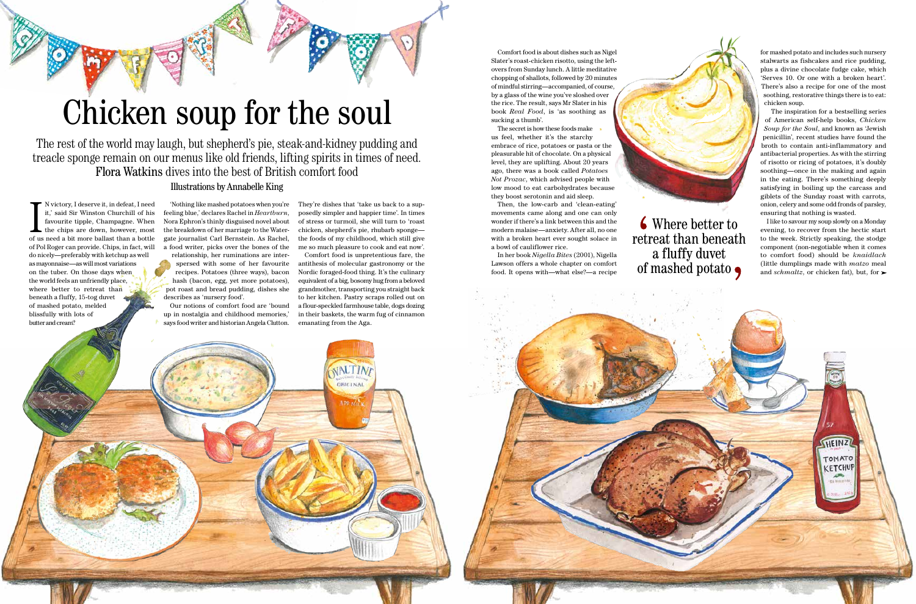# Chicken soup for the soul

N victory, I deserve it, in defeat, I need it,' said Sir Winston Churchill of his favourite tipple, Champagne. When the chips are down, however, most of us need a bit more ballast than a bottle N victory, I deserve it, in defeat, I need it,' said Sir Winston Churchill of his favourite tipple, Champagne. When  $\blacksquare$  the chips are down, however, most of Pol Roger can provide. Chips, in fact, will do nicely—preferably with ketchup as well as mayonnaise—as will most variations on the tuber. On those days when the world feels an unfriendly place, where better to retreat than beneath a fluffy, 15-tog duvet of mashed potato, melded blissfully with lots of butter and cream?

'Nothing like mashed potatoes when you're feeling blue,' declares Rachel in *Heartburn*, Nora Ephron's thinly disguised novel about the breakdown of her marriage to the Watergate journalist Carl Bernstein. As Rachel, a food writer, picks over the bones of the relationship, her ruminations are inter-

spersed with some of her favourite recipes. Potatoes (three ways), bacon hash (bacon, egg, yet more potatoes), pot roast and bread pudding, dishes she describes as 'nursery food'.

up in nostalgia and childhood memories,' says food writer and historian Angela Clutton. They're dishes that 'take us back to a supposedly simpler and happier time'. In times of stress or turmoil, she will turn to 'roast chicken, shepherd's pie, rhubarb sponge the foods of my childhood, which still give me so much pleasure to cook and eat now'.





Comfort food is unpretentious fare, the antithesis of molecular gastronomy or the Nordic foraged-food thing. It's the culinary equivalent of a big, bosomy hug from a beloved grandmother, transporting you straight back to her kitchen. Pastry scraps rolled out on

I like to savour my soup slowly on a Monday evening, to recover from the hectic start to the week. Strictly speaking, the stodge component (non-negotiable when it comes to comfort food) should be *knaidlach* (little dumplings made with *matzo* meal and *schmaltz*, or chicken fat), but, for  $\blacktriangleright$ 

HEINZ

TOMATO KETCHUP

Comfort food is about dishes such as Nigel Slater's roast-chicken risotto, using the leftovers from Sunday lunch. A little meditative chopping of shallots, followed by 20 minutes of mindful stirring—accompanied, of course, by a glass of the wine you've sloshed over the rice. The result, says Mr Slater in his book *Real Food*, is 'as soothing as sucking a thumb'.

> Where better to retreat than beneath a fluffy duvet of mashed potato  $\bullet$

The secret is how these foods make us feel, whether it's the starchy embrace of rice, potatoes or pasta or the pleasurable hit of chocolate. On a physical level, they are uplifting. About 20 years ago, there was a book called *Potatoes Not Prozac*, which advised people with low mood to eat carbohydrates because they boost serotonin and aid sleep.

Then, the low-carb and 'clean-eating' movements came along and one can only wonder if there's a link between this and the modern malaise—anxiety. After all, no one with a broken heart ever sought solace in a bowl of cauliflower rice.

In her book *Nigella Bites* (2001), Nigella Lawson offers a whole chapter on comfort food. It opens with—what else?—a recipe

for mashed potato and includes such nursery stalwarts as fishcakes and rice pudding, plus a divine chocolate fudge cake, which 'Serves 10. Or one with a broken heart'. There's also a recipe for one of the most soothing, restorative things there is to eat: chicken soup.

The inspiration for a bestselling series of American self-help books, *Chicken Soup for the Soul*, and known as 'Jewish penicillin', recent studies have found the broth to contain anti-inflammatory and antibacterial properties. As with the stirring of risotto or ricing of potatoes, it's doubly soothing—once in the making and again in the eating. There's something deeply satisfying in boiling up the carcass and giblets of the Sunday roast with carrots, onion, celery and some odd fronds of parsley, ensuring that nothing is wasted.

The rest of the world may laugh, but shepherd's pie, steak-and-kidney pudding and treacle sponge remain on our menus like old friends, lifting spirits in times of need. Flora Watkins dives into the best of British comfort food

Illustrations by Annabelle King